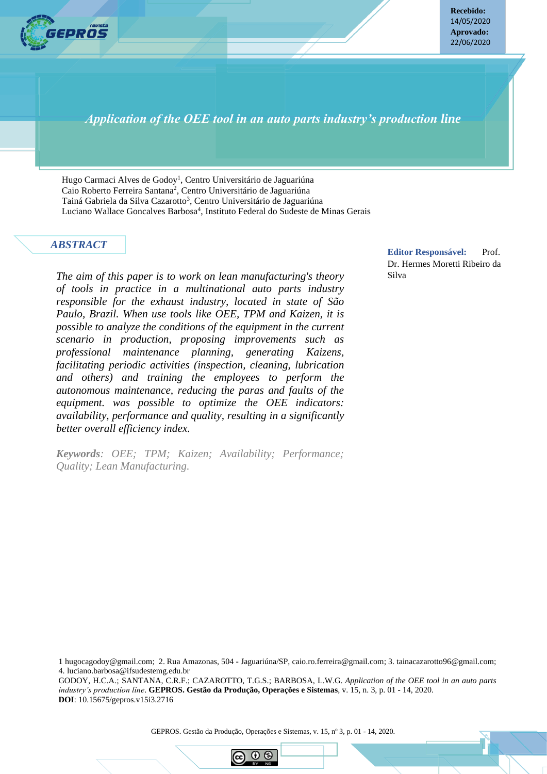

**Recebido:** 14/05/2020 **Aprovado:** 22/06/2020

*Application of the OEE tool in an auto parts industry's production line*

Hugo Carmaci Alves de Godoy<sup>1</sup>, Centro Universitário de Jaguariúna Caio Roberto Ferreira Santana<sup>2</sup>, Centro Universitário de Jaguariúna Tainá Gabriela da Silva Cazarotto<sup>3</sup>, Centro Universitário de Jaguariúna Luciano Wallace Goncalves Barbosa<sup>4</sup>, Instituto Federal do Sudeste de Minas Gerais

#### *ABSTRACT*

*The aim of this paper is to work on lean manufacturing's theory of tools in practice in a multinational auto parts industry responsible for the exhaust industry, located in state of São Paulo, Brazil. When use tools like OEE, TPM and Kaizen, it is possible to analyze the conditions of the equipment in the current scenario in production, proposing improvements such as professional maintenance planning, generating Kaizens, facilitating periodic activities (inspection, cleaning, lubrication and others) and training the employees to perform the autonomous maintenance, reducing the paras and faults of the equipment. was possible to optimize the OEE indicators: availability, performance and quality, resulting in a significantly better overall efficiency index.*

*Keywords: OEE; TPM; Kaizen; Availability; Performance; Quality; Lean Manufacturing.*

**GEPROS. Gestão da Produção, Operações e Sistemas**, Bauru, Ano 14, nº 4, out-dez/2018, p. 1-23.

**Editor Responsável:** Prof. Dr. Hermes Moretti Ribeiro da Silva

1 hugocagodoy@gmail.com; 2. Rua Amazonas, 504 - Jaguariúna/SP, caio.ro.ferreira@gmail.com; 3. tainacazarotto96@gmail.com; 4. luciano.barbosa@ifsudestemg.edu.br

GODOY, H.C.A.; SANTANA, C.R.F.; CAZAROTTO, T.G.S.; BARBOSA, L.W.G. *Application of the OEE tool in an auto parts industry's production line*. **GEPROS. Gestão da Produção, Operações e Sistemas**, v. 15, n. 3, p. 01 - 14, 2020. **DOI**: 10.15675/gepros.v15i3.2716

GEPROS. Gestão da Produção, Operações e Sistemas, v. 15, nº 3, p. 01 - 14, 2020.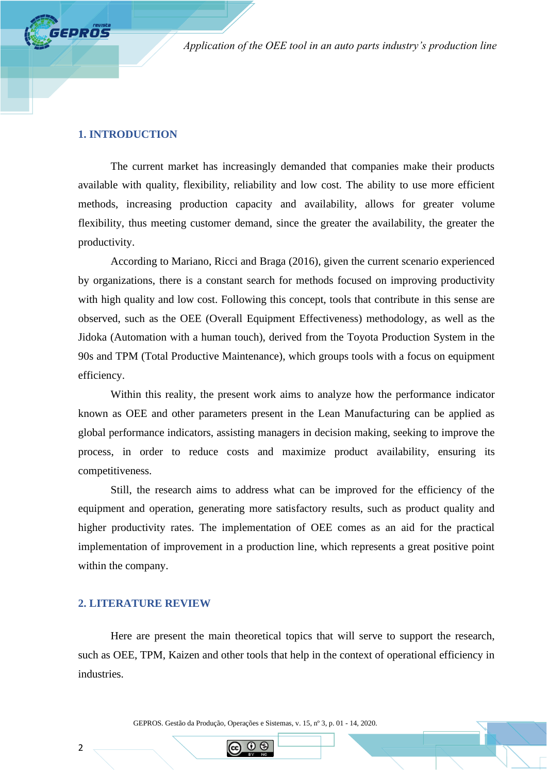## **1. INTRODUCTION**

**EPROS** 

The current market has increasingly demanded that companies make their products available with quality, flexibility, reliability and low cost. The ability to use more efficient methods, increasing production capacity and availability, allows for greater volume flexibility, thus meeting customer demand, since the greater the availability, the greater the productivity.

According to Mariano, Ricci and Braga (2016), given the current scenario experienced by organizations, there is a constant search for methods focused on improving productivity with high quality and low cost. Following this concept, tools that contribute in this sense are observed, such as the OEE (Overall Equipment Effectiveness) methodology, as well as the Jidoka (Automation with a human touch), derived from the Toyota Production System in the 90s and TPM (Total Productive Maintenance), which groups tools with a focus on equipment efficiency.

Within this reality, the present work aims to analyze how the performance indicator known as OEE and other parameters present in the Lean Manufacturing can be applied as global performance indicators, assisting managers in decision making, seeking to improve the process, in order to reduce costs and maximize product availability, ensuring its competitiveness.

Still, the research aims to address what can be improved for the efficiency of the equipment and operation, generating more satisfactory results, such as product quality and higher productivity rates. The implementation of OEE comes as an aid for the practical implementation of improvement in a production line, which represents a great positive point within the company.

## **2. LITERATURE REVIEW**

2

Here are present the main theoretical topics that will serve to support the research, such as OEE, TPM, Kaizen and other tools that help in the context of operational efficiency in industries.

GEPROS. Gestão da Produção, Operações e Sistemas, v. 15, nº 3, p. 01 - 14, 2020.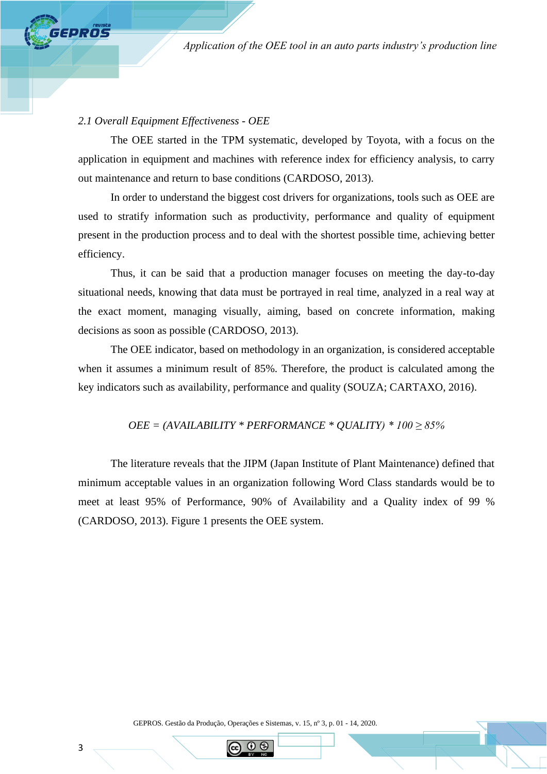## *2.1 Overall Equipment Effectiveness - OEE*

**GPROS** 

The OEE started in the TPM systematic, developed by Toyota, with a focus on the application in equipment and machines with reference index for efficiency analysis, to carry out maintenance and return to base conditions (CARDOSO, 2013).

In order to understand the biggest cost drivers for organizations, tools such as OEE are used to stratify information such as productivity, performance and quality of equipment present in the production process and to deal with the shortest possible time, achieving better efficiency.

Thus, it can be said that a production manager focuses on meeting the day-to-day situational needs, knowing that data must be portrayed in real time, analyzed in a real way at the exact moment, managing visually, aiming, based on concrete information, making decisions as soon as possible (CARDOSO, 2013).

The OEE indicator, based on methodology in an organization, is considered acceptable when it assumes a minimum result of 85%. Therefore, the product is calculated among the key indicators such as availability, performance and quality (SOUZA; CARTAXO, 2016).

### *OEE = (AVAILABILITY \* PERFORMANCE \* QUALITY) \* 100 ≥ 85%*

The literature reveals that the JIPM (Japan Institute of Plant Maintenance) defined that minimum acceptable values in an organization following Word Class standards would be to meet at least 95% of Performance, 90% of Availability and a Quality index of 99 % (CARDOSO, 2013). Figure 1 presents the OEE system.

GEPROS. Gestão da Produção, Operações e Sistemas, v. 15, nº 3, p. 01 - 14, 2020.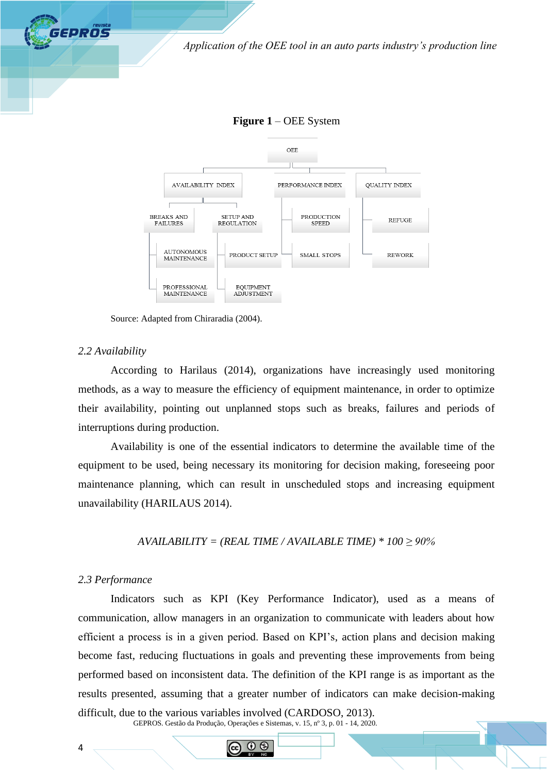





Source: Adapted from Chiraradia (2004).

#### *2.2 Availability*

**GEPROS** 

According to Harilaus (2014), organizations have increasingly used monitoring methods, as a way to measure the efficiency of equipment maintenance, in order to optimize their availability, pointing out unplanned stops such as breaks, failures and periods of interruptions during production.

Availability is one of the essential indicators to determine the available time of the equipment to be used, being necessary its monitoring for decision making, foreseeing poor maintenance planning, which can result in unscheduled stops and increasing equipment unavailability (HARILAUS 2014).

 $AVALUATE = (REAL TIME / AVAILABLE TIME) * 100 \ge 90\%$ 

#### *2.3 Performance*

4

GEPROS. Gestão da Produção, Operações e Sistemas, v. 15, nº 3, p. 01 - 14, 2020. Indicators such as KPI (Key Performance Indicator), used as a means of communication, allow managers in an organization to communicate with leaders about how efficient a process is in a given period. Based on KPI's, action plans and decision making become fast, reducing fluctuations in goals and preventing these improvements from being performed based on inconsistent data. The definition of the KPI range is as important as the results presented, assuming that a greater number of indicators can make decision-making difficult, due to the various variables involved (CARDOSO, 2013).

 $\Omega$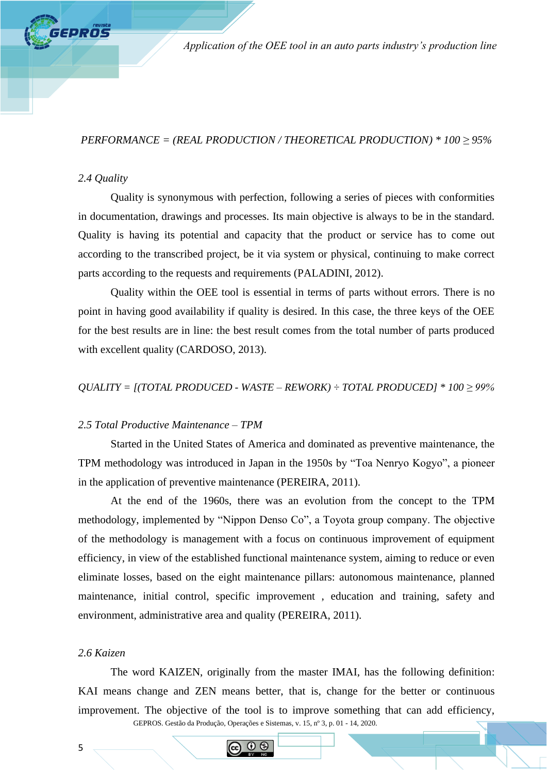# *PERFORMANCE = (REAL PRODUCTION / THEORETICAL PRODUCTION) \* 100 ≥ 95%*

# *2.4 Quality*

**FPROS** 

Quality is synonymous with perfection, following a series of pieces with conformities in documentation, drawings and processes. Its main objective is always to be in the standard. Quality is having its potential and capacity that the product or service has to come out according to the transcribed project, be it via system or physical, continuing to make correct parts according to the requests and requirements (PALADINI, 2012).

Quality within the OEE tool is essential in terms of parts without errors. There is no point in having good availability if quality is desired. In this case, the three keys of the OEE for the best results are in line: the best result comes from the total number of parts produced with excellent quality (CARDOSO, 2013).

*QUALITY = [(TOTAL PRODUCED - WASTE – REWORK) ÷ TOTAL PRODUCED] \* 100 ≥ 99%*

## *2.5 Total Productive Maintenance – TPM*

Started in the United States of America and dominated as preventive maintenance, the TPM methodology was introduced in Japan in the 1950s by "Toa Nenryo Kogyo", a pioneer in the application of preventive maintenance (PEREIRA, 2011).

At the end of the 1960s, there was an evolution from the concept to the TPM methodology, implemented by "Nippon Denso Co", a Toyota group company. The objective of the methodology is management with a focus on continuous improvement of equipment efficiency, in view of the established functional maintenance system, aiming to reduce or even eliminate losses, based on the eight maintenance pillars: autonomous maintenance, planned maintenance, initial control, specific improvement , education and training, safety and environment, administrative area and quality (PEREIRA, 2011).

### *2.6 Kaizen*

GEPROS. Gestão da Produção, Operações e Sistemas, v. 15, nº 3, p. 01 - 14, 2020. The word KAIZEN, originally from the master IMAI, has the following definition: KAI means change and ZEN means better, that is, change for the better or continuous improvement. The objective of the tool is to improve something that can add efficiency,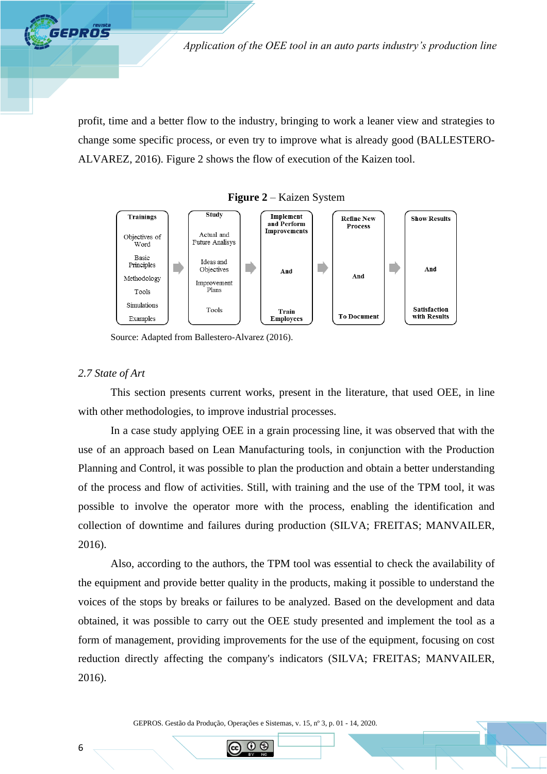profit, time and a better flow to the industry, bringing to work a leaner view and strategies to change some specific process, or even try to improve what is already good (BALLESTERO-ALVAREZ, 2016). Figure 2 shows the flow of execution of the Kaizen tool.



**Figure 2** – Kaizen System

Source: Adapted from Ballestero-Alvarez (2016).

## *2.7 State of Art*

**GEPROS** 

This section presents current works, present in the literature, that used OEE, in line with other methodologies, to improve industrial processes.

In a case study applying OEE in a grain processing line, it was observed that with the use of an approach based on Lean Manufacturing tools, in conjunction with the Production Planning and Control, it was possible to plan the production and obtain a better understanding of the process and flow of activities. Still, with training and the use of the TPM tool, it was possible to involve the operator more with the process, enabling the identification and collection of downtime and failures during production (SILVA; FREITAS; MANVAILER, 2016).

Also, according to the authors, the TPM tool was essential to check the availability of the equipment and provide better quality in the products, making it possible to understand the voices of the stops by breaks or failures to be analyzed. Based on the development and data obtained, it was possible to carry out the OEE study presented and implement the tool as a form of management, providing improvements for the use of the equipment, focusing on cost reduction directly affecting the company's indicators (SILVA; FREITAS; MANVAILER, 2016).

GEPROS. Gestão da Produção, Operações e Sistemas, v. 15, nº 3, p. 01 - 14, 2020.

റ ഒ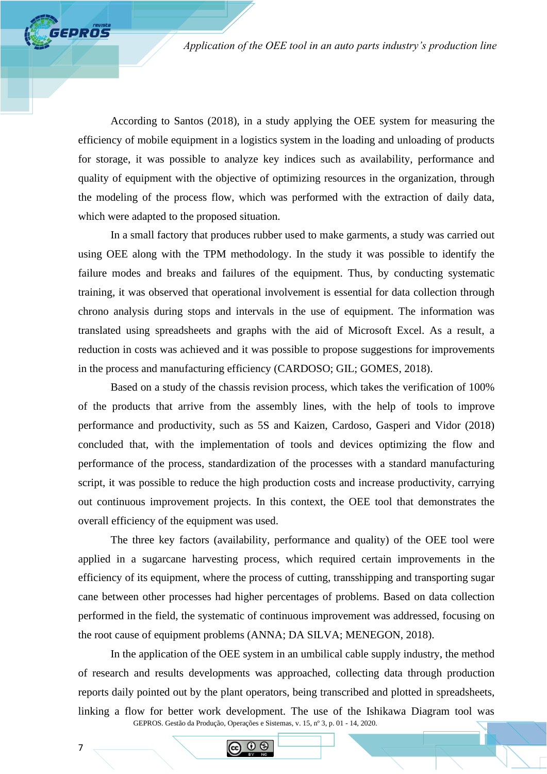According to Santos (2018), in a study applying the OEE system for measuring the efficiency of mobile equipment in a logistics system in the loading and unloading of products for storage, it was possible to analyze key indices such as availability, performance and quality of equipment with the objective of optimizing resources in the organization, through the modeling of the process flow, which was performed with the extraction of daily data, which were adapted to the proposed situation.

In a small factory that produces rubber used to make garments, a study was carried out using OEE along with the TPM methodology. In the study it was possible to identify the failure modes and breaks and failures of the equipment. Thus, by conducting systematic training, it was observed that operational involvement is essential for data collection through chrono analysis during stops and intervals in the use of equipment. The information was translated using spreadsheets and graphs with the aid of Microsoft Excel. As a result, a reduction in costs was achieved and it was possible to propose suggestions for improvements in the process and manufacturing efficiency (CARDOSO; GIL; GOMES, 2018).

Based on a study of the chassis revision process, which takes the verification of 100% of the products that arrive from the assembly lines, with the help of tools to improve performance and productivity, such as 5S and Kaizen, Cardoso, Gasperi and Vidor (2018) concluded that, with the implementation of tools and devices optimizing the flow and performance of the process, standardization of the processes with a standard manufacturing script, it was possible to reduce the high production costs and increase productivity, carrying out continuous improvement projects. In this context, the OEE tool that demonstrates the overall efficiency of the equipment was used.

The three key factors (availability, performance and quality) of the OEE tool were applied in a sugarcane harvesting process, which required certain improvements in the efficiency of its equipment, where the process of cutting, transshipping and transporting sugar cane between other processes had higher percentages of problems. Based on data collection performed in the field, the systematic of continuous improvement was addressed, focusing on the root cause of equipment problems (ANNA; DA SILVA; MENEGON, 2018).

GEPROS. Gestão da Produção, Operações e Sistemas, v. 15, nº 3, p. 01 - 14, 2020. In the application of the OEE system in an umbilical cable supply industry, the method of research and results developments was approached, collecting data through production reports daily pointed out by the plant operators, being transcribed and plotted in spreadsheets, linking a flow for better work development. The use of the Ishikawa Diagram tool was

7

GEPROS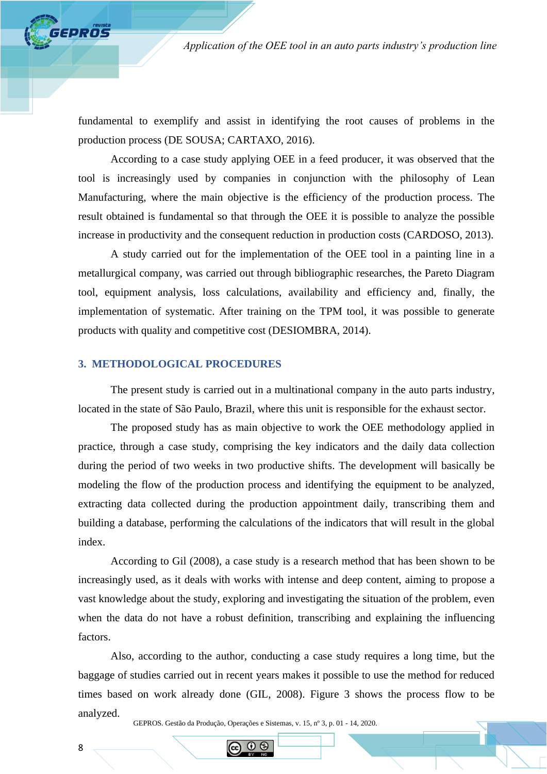fundamental to exemplify and assist in identifying the root causes of problems in the production process (DE SOUSA; CARTAXO, 2016).

According to a case study applying OEE in a feed producer, it was observed that the tool is increasingly used by companies in conjunction with the philosophy of Lean Manufacturing, where the main objective is the efficiency of the production process. The result obtained is fundamental so that through the OEE it is possible to analyze the possible increase in productivity and the consequent reduction in production costs (CARDOSO, 2013).

A study carried out for the implementation of the OEE tool in a painting line in a metallurgical company, was carried out through bibliographic researches, the Pareto Diagram tool, equipment analysis, loss calculations, availability and efficiency and, finally, the implementation of systematic. After training on the TPM tool, it was possible to generate products with quality and competitive cost (DESIOMBRA, 2014).

### **3. METHODOLOGICAL PROCEDURES**

The present study is carried out in a multinational company in the auto parts industry, located in the state of São Paulo, Brazil, where this unit is responsible for the exhaust sector.

The proposed study has as main objective to work the OEE methodology applied in practice, through a case study, comprising the key indicators and the daily data collection during the period of two weeks in two productive shifts. The development will basically be modeling the flow of the production process and identifying the equipment to be analyzed, extracting data collected during the production appointment daily, transcribing them and building a database, performing the calculations of the indicators that will result in the global index.

According to Gil (2008), a case study is a research method that has been shown to be increasingly used, as it deals with works with intense and deep content, aiming to propose a vast knowledge about the study, exploring and investigating the situation of the problem, even when the data do not have a robust definition, transcribing and explaining the influencing factors.

Also, according to the author, conducting a case study requires a long time, but the baggage of studies carried out in recent years makes it possible to use the method for reduced times based on work already done (GIL, 2008). Figure 3 shows the process flow to be analyzed.

GEPROS. Gestão da Produção, Operações e Sistemas, v. 15, nº 3, p. 01 - 14, 2020.

8

**FPROS**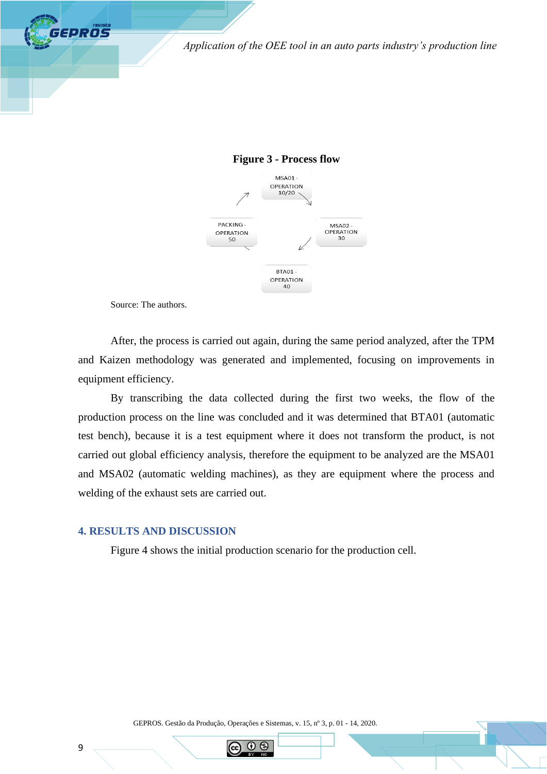



Source: The authors.

GEPROS

After, the process is carried out again, during the same period analyzed, after the TPM and Kaizen methodology was generated and implemented, focusing on improvements in equipment efficiency.

By transcribing the data collected during the first two weeks, the flow of the production process on the line was concluded and it was determined that BTA01 (automatic test bench), because it is a test equipment where it does not transform the product, is not carried out global efficiency analysis, therefore the equipment to be analyzed are the MSA01 and MSA02 (automatic welding machines), as they are equipment where the process and welding of the exhaust sets are carried out.

# **4. RESULTS AND DISCUSSION**

Figure 4 shows the initial production scenario for the production cell.

GEPROS. Gestão da Produção, Operações e Sistemas, v. 15, nº 3, p. 01 - 14, 2020.

റ ഭ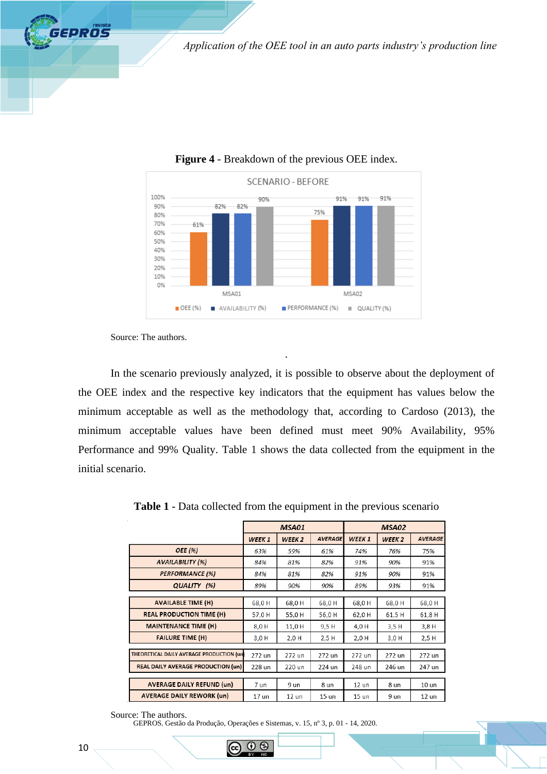

## **Figure 4** - Breakdown of the previous OEE index.

Source: The authors.

**GEPROS** 

In the scenario previously analyzed, it is possible to observe about the deployment of the OEE index and the respective key indicators that the equipment has values below the minimum acceptable as well as the methodology that, according to Cardoso (2013), the minimum acceptable values have been defined must meet 90% Availability, 95% Performance and 99% Quality. Table 1 shows the data collected from the equipment in the initial scenario.

.

|                                           | MSA01             |                   |                | MSA02             |                   |                  |  |
|-------------------------------------------|-------------------|-------------------|----------------|-------------------|-------------------|------------------|--|
|                                           | WEEK <sub>1</sub> | WEEK <sub>2</sub> | <b>AVERAGE</b> | WEEK <sub>1</sub> | WEEK <sub>2</sub> | <b>AVERAGE</b>   |  |
| OEE (%)                                   | 63%               | 59%               | 61%            | 74%               | 76%               | 75%              |  |
| <b>AVAILABILITY (%)</b>                   | 84%               | 81%               | 82%            | 91%               | 90%               | 91%              |  |
| <b>PERFORMANCE (%)</b>                    | 84%               | 81%               | 82%            | 91%               | 90%               | 91%              |  |
| QUALITY (%)                               | 89%               | 90%               | 90%            | 89%               | 93%               | 91%              |  |
|                                           |                   |                   |                |                   |                   |                  |  |
| <b>AVAILABLE TIME (H)</b>                 | 68,0H             | 68,0H             | 68,0H          | 68,0H             | 68,0H             | 68,0H            |  |
| <b>REAL PRODUCTION TIME (H)</b>           | 57,0H             | 55,0H             | 56,0H          | 62,0H             | 61,5H             | 61,8H            |  |
| <b>MAINTENANCE TIME (H)</b>               | 8,0 H             | 11,0 H            | 9,5 H          | 4,0 H             | 3,5H              | 3,8 H            |  |
| <b>FAILURE TIME (H)</b>                   | 3,0 H             | $2,0$ H           | 2,5H           | $2,0$ H           | 3,0 H             | 2,5H             |  |
|                                           |                   |                   |                |                   |                   |                  |  |
| THEORETICAL DAILY AVERAGE PRODUCTION (un) | 272 un            | 272 un            | 272 un         | 272 un            | 272 un            | 272 un           |  |
| <b>REAL DAILY AVERAGE PRODUCTION (un)</b> | 228 un            | 220 un            | 224 un         | 248 un            | 246 un            | 247 un           |  |
|                                           |                   |                   |                |                   |                   |                  |  |
| <b>AVERAGE DAILY REFUND (un)</b>          | 7 un              | 9 un              | 8 un           | $12$ un           | 8 un              | 10 <sub>un</sub> |  |
| <b>AVERAGE DAILY REWORK (un)</b>          | 17 un             | 12 un             | 15 un          | $15$ un           | 9 un              | $12$ un          |  |

**Table 1** - Data collected from the equipment in the previous scenario

Source: The authors.

GEPROS. Gestão da Produção, Operações e Sistemas, v. 15, nº 3, p. 01 - 14, 2020.

(1) IS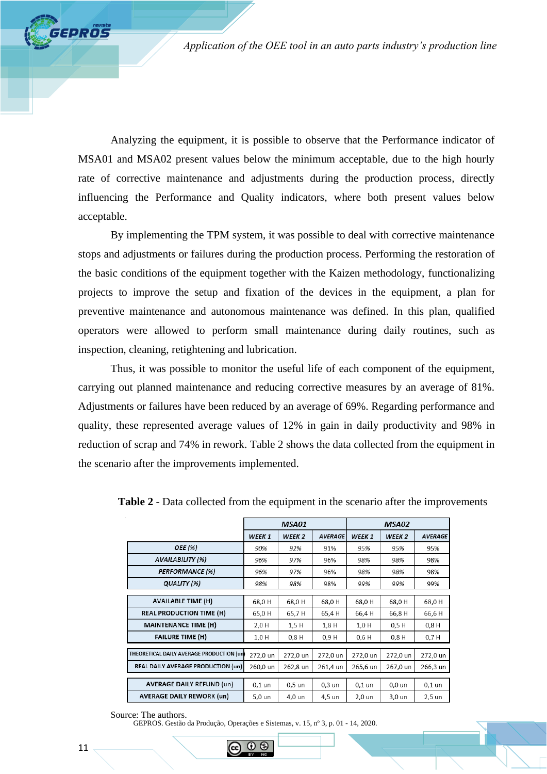Analyzing the equipment, it is possible to observe that the Performance indicator of MSA01 and MSA02 present values below the minimum acceptable, due to the high hourly rate of corrective maintenance and adjustments during the production process, directly influencing the Performance and Quality indicators, where both present values below acceptable.

By implementing the TPM system, it was possible to deal with corrective maintenance stops and adjustments or failures during the production process. Performing the restoration of the basic conditions of the equipment together with the Kaizen methodology, functionalizing projects to improve the setup and fixation of the devices in the equipment, a plan for preventive maintenance and autonomous maintenance was defined. In this plan, qualified operators were allowed to perform small maintenance during daily routines, such as inspection, cleaning, retightening and lubrication.

Thus, it was possible to monitor the useful life of each component of the equipment, carrying out planned maintenance and reducing corrective measures by an average of 81%. Adjustments or failures have been reduced by an average of 69%. Regarding performance and quality, these represented average values of 12% in gain in daily productivity and 98% in reduction of scrap and 74% in rework. Table 2 shows the data collected from the equipment in the scenario after the improvements implemented.

|                                           | MSA01             |                   |                | MSA02    |                   |                |  |
|-------------------------------------------|-------------------|-------------------|----------------|----------|-------------------|----------------|--|
|                                           | WEEK <sub>1</sub> | WEEK <sub>2</sub> | <b>AVERAGE</b> | WEEK 1   | WEEK <sub>2</sub> | <b>AVERAGE</b> |  |
| OEE (%)                                   | 90%               | 92%               | 91%            | 95%      | 95%               | 95%            |  |
| AVAILABILITY (%)                          | 96%               | 97%               | 96%            | 98%      | 98%               | 98%            |  |
| <b>PERFORMANCE (%)</b>                    | 96%               | 97%               | 96%            | 98%      | 98%               | 98%            |  |
| QUALITY (%)                               | 98%               | 98%               | 98%            | 99%      | 99%               | 99%            |  |
|                                           |                   |                   |                |          |                   |                |  |
| <b>AVAILABLE TIME (H)</b>                 | 68,0H             | 68,0H             | 68,0H          | 68,0H    | 68,0H             | 68,0H          |  |
| <b>REAL PRODUCTION TIME (H)</b>           | 65,0 H            | 65,7H             | 65,4H          | 66,4H    | 66,8H             | 66,6H          |  |
| <b>MAINTENANCE TIME (H)</b>               | 2,0 H             | 1,5H              | $1,8$ H        | $1,0$ H  | 0.5H              | $0,8$ H        |  |
| <b>FAILURE TIME (H)</b>                   | $1,0$ H           | 0.8H              | 0.9H           | $0,6$ H  | 0.8H              | 0.7H           |  |
|                                           |                   |                   |                |          |                   |                |  |
| THEORETICAL DAILY AVERAGE PRODUCTION (un  | 272,0 un          | 272,0 un          | 272,0 un       | 272,0 un | 272,0 un          | 272,0 un       |  |
| <b>REAL DAILY AVERAGE PRODUCTION (un)</b> | 260,0 un          | 262,8 un          | 261,4 un       | 265,6 un | 267,0 un          | 266,3 un       |  |
|                                           |                   |                   |                |          |                   |                |  |
| <b>AVERAGE DAILY REFUND (un)</b>          | $0,1$ un          | 0,5 un            | $0,3$ un       | $0,1$ un | $0,0$ un          | $0,1$ un       |  |
| <b>AVERAGE DAILY REWORK (un)</b>          | 5,0 un            | 4,0 un            | 4,5 un         | 2,0 un   | 3,0 un            | 2,5 un         |  |

**Table 2** - Data collected from the equipment in the scenario after the improvements

GEPROS. Gestão da Produção, Operações e Sistemas, v. 15, nº 3, p. 01 - 14, 2020.

**EPROS** 

Source: The authors.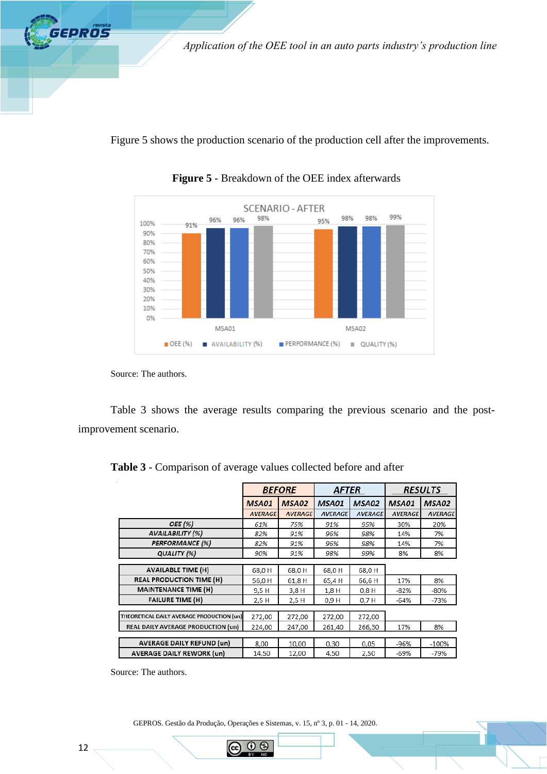Figure 5 shows the production scenario of the production cell after the improvements.



**Figure 5** - Breakdown of the OEE index afterwards

**GEPROS** 

Table 3 shows the average results comparing the previous scenario and the postimprovement scenario.

|                                           | <b>BEFORE</b>  |                | <b>AFTER</b>   |                | <b>RESULTS</b> |                |
|-------------------------------------------|----------------|----------------|----------------|----------------|----------------|----------------|
|                                           | MSA01          | MSA02          | MSA01          | MSA02          | MSA01          | MSA02          |
|                                           | <b>AVERAGE</b> | <b>AVERAGE</b> | <b>AVERAGE</b> | <b>AVERAGE</b> | <b>AVERAGE</b> | <b>AVERAGE</b> |
| OEE (%)                                   | 61%            | 75%            | 91%            | 95%            | 30%            | 20%            |
| <b>AVAILABILITY (%)</b>                   | 82%            | 91%            | 96%            | 98%            | 14%            | 7%             |
| <b>PERFORMANCE</b> (%)                    | 82%            | 91%            | 96%            | 98%            | 14%            | 7%             |
| QUALITY (%)                               | 90%            | 91%            | 98%            | 99%            | 8%             | 8%             |
|                                           |                |                |                |                |                |                |
| <b>AVAILABLE TIME (H)</b>                 | 68,0H          | 68,0H          | 68,0H          | 68,0H          |                |                |
| <b>REAL PRODUCTION TIME (H)</b>           | 56,0H          | 61,8 H         | 65,4H          | 66,6H          | 17%            | 8%             |
| <b>MAINTENANCE TIME (H)</b>               | 9.5 H          | 3,8 H          | 1,8 H          | 0.8H           | $-82%$         | -80%           |
| <b>FAILURE TIME (H)</b>                   | 2,5 H          | 2,5 H          | 0,9 H          | 0,7H           | $-64%$         | -73%           |
|                                           |                |                |                |                |                |                |
| THEORETICAL DAILY AVERAGE PRODUCTION (un) | 272,00         | 272,00         | 272,00         | 272,00         |                |                |
| REAL DAILY AVERAGE PRODUCTION (un)        | 224,00         | 247,00         | 261,40         | 266,30         | 17%            | 8%             |
|                                           |                |                |                |                |                |                |
| <b>AVERAGE DAILY REFUND (un)</b>          | 8,00           | 10,00          | 0,30           | 0,05           | -96%           | $-100%$        |
| <b>AVERAGE DAILY REWORK (un)</b>          | 14,50          | 12,00          | 4,50           | 2,50           | -69%           | -79%           |

**Table 3** - Comparison of average values collected before and after

Source: The authors.

GEPROS. Gestão da Produção, Operações e Sistemas, v. 15, nº 3, p. 01 - 14, 2020.

 $\odot$   $\odot$ 

Source: The authors.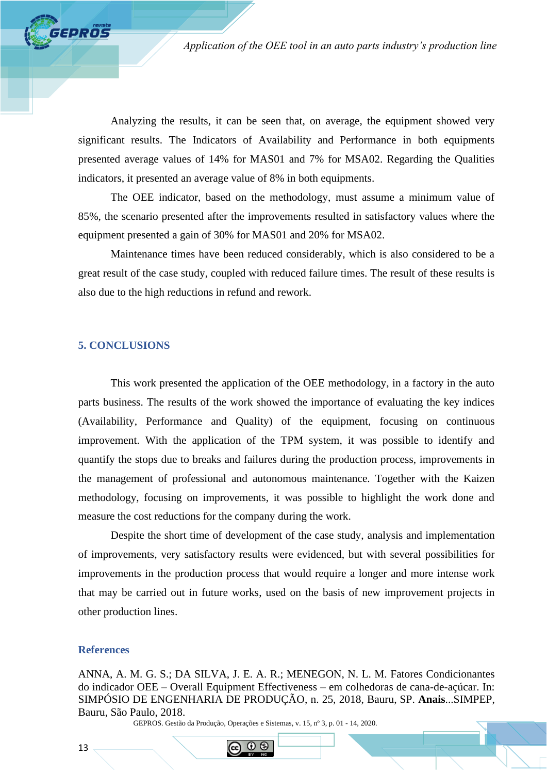Analyzing the results, it can be seen that, on average, the equipment showed very significant results. The Indicators of Availability and Performance in both equipments presented average values of 14% for MAS01 and 7% for MSA02. Regarding the Qualities indicators, it presented an average value of 8% in both equipments.

The OEE indicator, based on the methodology, must assume a minimum value of 85%, the scenario presented after the improvements resulted in satisfactory values where the equipment presented a gain of 30% for MAS01 and 20% for MSA02.

Maintenance times have been reduced considerably, which is also considered to be a great result of the case study, coupled with reduced failure times. The result of these results is also due to the high reductions in refund and rework.

# **5. CONCLUSIONS**

*GPROS* 

This work presented the application of the OEE methodology, in a factory in the auto parts business. The results of the work showed the importance of evaluating the key indices (Availability, Performance and Quality) of the equipment, focusing on continuous improvement. With the application of the TPM system, it was possible to identify and quantify the stops due to breaks and failures during the production process, improvements in the management of professional and autonomous maintenance. Together with the Kaizen methodology, focusing on improvements, it was possible to highlight the work done and measure the cost reductions for the company during the work.

Despite the short time of development of the case study, analysis and implementation of improvements, very satisfactory results were evidenced, but with several possibilities for improvements in the production process that would require a longer and more intense work that may be carried out in future works, used on the basis of new improvement projects in other production lines.

# **References**

ANNA, A. M. G. S.; DA SILVA, J. E. A. R.; MENEGON, N. L. M. Fatores Condicionantes do indicador OEE – Overall Equipment Effectiveness – em colhedoras de cana-de-açúcar. In: SIMPÓSIO DE ENGENHARIA DE PRODUÇÃO, n. 25, 2018, Bauru, SP. **Anais**...SIMPEP, Bauru, São Paulo, 2018.

GEPROS. Gestão da Produção, Operações e Sistemas, v. 15, nº 3, p. 01 - 14, 2020.

റ ഭ